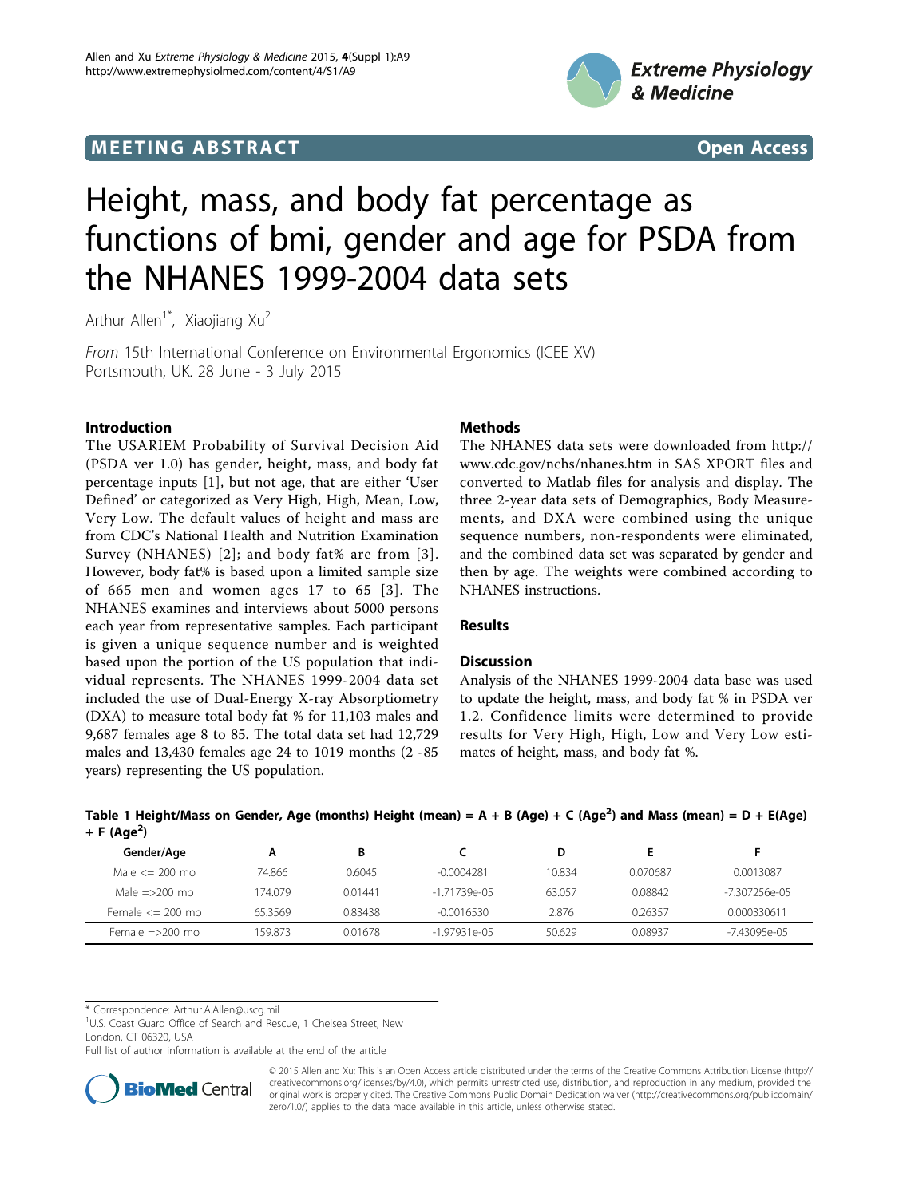## **MEETING ABSTRACT CONSUMING ABSTRACT**





# Height, mass, and body fat percentage as functions of bmi, gender and age for PSDA from the NHANES 1999-2004 data sets

Arthur Allen<sup>1\*</sup>, Xiaojiang Xu<sup>2</sup>

From 15th International Conference on Environmental Ergonomics (ICEE XV) Portsmouth, UK. 28 June - 3 July 2015

## Introduction

The USARIEM Probability of Survival Decision Aid (PSDA ver 1.0) has gender, height, mass, and body fat percentage inputs [[1\]](#page-1-0), but not age, that are either 'User Defined' or categorized as Very High, High, Mean, Low, Very Low. The default values of height and mass are from CDC's National Health and Nutrition Examination Survey (NHANES) [[2](#page-1-0)]; and body fat% are from [[3\]](#page-1-0). However, body fat% is based upon a limited sample size of 665 men and women ages 17 to 65 [[3](#page-1-0)]. The NHANES examines and interviews about 5000 persons each year from representative samples. Each participant is given a unique sequence number and is weighted based upon the portion of the US population that individual represents. The NHANES 1999-2004 data set included the use of Dual-Energy X-ray Absorptiometry (DXA) to measure total body fat % for 11,103 males and 9,687 females age 8 to 85. The total data set had 12,729 males and 13,430 females age 24 to 1019 months (2 -85 years) representing the US population.

## Methods

The NHANES data sets were downloaded from [http://](http://www.cdc.gov/nchs/nhanes.htm) [www.cdc.gov/nchs/nhanes.htm](http://www.cdc.gov/nchs/nhanes.htm) in SAS XPORT files and converted to Matlab files for analysis and display. The three 2-year data sets of Demographics, Body Measurements, and DXA were combined using the unique sequence numbers, non-respondents were eliminated, and the combined data set was separated by gender and then by age. The weights were combined according to NHANES instructions.

### Results

### **Discussion**

Analysis of the NHANES 1999-2004 data base was used to update the height, mass, and body fat % in PSDA ver 1.2. Confidence limits were determined to provide results for Very High, High, Low and Very Low estimates of height, mass, and body fat %.

| .                       |        |         |               |        |          |                 |
|-------------------------|--------|---------|---------------|--------|----------|-----------------|
| Gender/Age              |        |         |               |        |          |                 |
| Male $\leq$ 200 mo      | 74.866 | 0.6045  | $-0.0004281$  | 10.834 | 0.070687 | 0.0013087       |
| Male $=$ >200 mo        | 174079 | 0.01441 | $-171739e-05$ | 63.057 | 0.08842  | $-7307256$ e-05 |
| Female $\leq$ 200 mo    | 653569 | 0.83438 | -0.0016530    | 2.876  | 0.26357  | 0.000330611     |
| Female $\approx$ 200 mo | 159873 | 0.01678 | $-197931e-05$ | 50.629 | 008937   | -743095e-05     |

Table 1 Height/Mass on Gender, Age (months) Height (mean) = A + B (Age) + C (Age<sup>2</sup>) and Mass (mean) = D + E(Age) + F (Age<sup>2</sup>)

\* Correspondence: [Arthur.A.Allen@uscg.mil](mailto:Arthur.A.Allen@uscg.mil)

<sup>1</sup>U.S. Coast Guard Office of Search and Rescue, 1 Chelsea Street, New London, CT 06320, USA

Full list of author information is available at the end of the article



© 2015 Allen and Xu; This is an Open Access article distributed under the terms of the Creative Commons Attribution License [\(http://](http://creativecommons.org/licenses/by/4.0) [creativecommons.org/licenses/by/4.0](http://creativecommons.org/licenses/by/4.0)), which permits unrestricted use, distribution, and reproduction in any medium, provided the original work is properly cited. The Creative Commons Public Domain Dedication waiver ([http://creativecommons.org/publicdomain/](http://creativecommons.org/publicdomain/zero/1.0/) [zero/1.0/](http://creativecommons.org/publicdomain/zero/1.0/)) applies to the data made available in this article, unless otherwise stated.